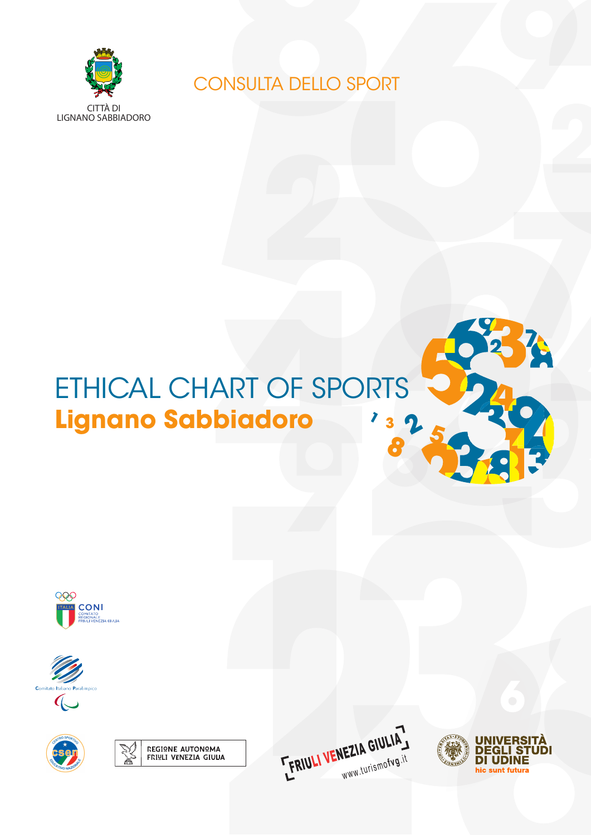

CONSULTA DELLO SPORT

# **8 <sup>1</sup> <sup>3</sup> 2**ETHICAL CHART OF SPORTS **Lignano Sabbiadoro**













**5**

**SPACE**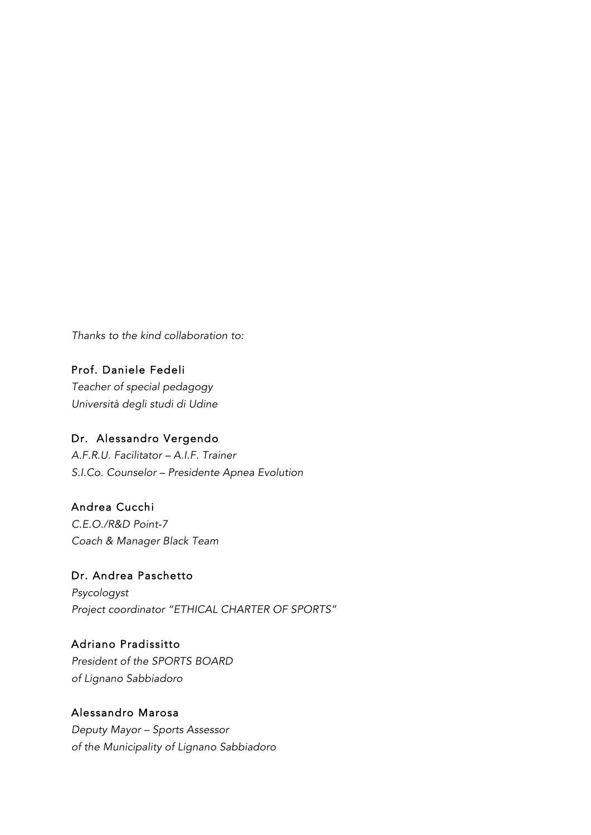*Thanks to the kind collaboration to:*

Prof. Daniele Fedeli *Teacher of special pedagogy Università degli studi di Udine*

## Dr. Alessandro Vergendo

*A.F.R.U. Facilitator – A.I.F. Trainer S.I.Co. Counselor – Presidente Apnea Evolution*

Andrea Cucchi

*C.E.O./R&D Point-7 Coach & Manager Black Team* 

Dr. Andrea Paschetto *Psycologyst Project coordinator "ETHICAL CHARTER OF SPORTS"*

Adriano Pradissitto *President of the SPORTS BOARD of Lignano Sabbiadoro*

## Alessandro Marosa

*Deputy Mayor – Sports Assessor of the Municipality of Lignano Sabbiadoro*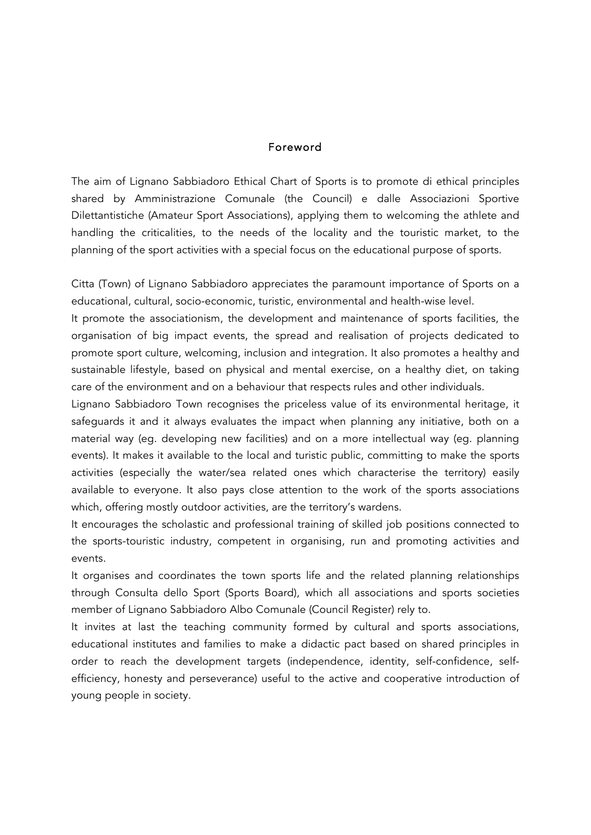#### Foreword

The aim of Lignano Sabbiadoro Ethical Chart of Sports is to promote di ethical principles shared by Amministrazione Comunale (the Council) e dalle Associazioni Sportive Dilettantistiche (Amateur Sport Associations), applying them to welcoming the athlete and handling the criticalities, to the needs of the locality and the touristic market, to the planning of the sport activities with a special focus on the educational purpose of sports.

Citta (Town) of Lignano Sabbiadoro appreciates the paramount importance of Sports on a educational, cultural, socio-economic, turistic, environmental and health-wise level.

It promote the associationism, the development and maintenance of sports facilities, the organisation of big impact events, the spread and realisation of projects dedicated to promote sport culture, welcoming, inclusion and integration. It also promotes a healthy and sustainable lifestyle, based on physical and mental exercise, on a healthy diet, on taking care of the environment and on a behaviour that respects rules and other individuals.

Lignano Sabbiadoro Town recognises the priceless value of its environmental heritage, it safeguards it and it always evaluates the impact when planning any initiative, both on a material way (eg. developing new facilities) and on a more intellectual way (eg. planning events). It makes it available to the local and turistic public, committing to make the sports activities (especially the water/sea related ones which characterise the territory) easily available to everyone. It also pays close attention to the work of the sports associations which, offering mostly outdoor activities, are the territory's wardens.

It encourages the scholastic and professional training of skilled job positions connected to the sports-touristic industry, competent in organising, run and promoting activities and events.

It organises and coordinates the town sports life and the related planning relationships through Consulta dello Sport (Sports Board), which all associations and sports societies member of Lignano Sabbiadoro Albo Comunale (Council Register) rely to.

It invites at last the teaching community formed by cultural and sports associations, educational institutes and families to make a didactic pact based on shared principles in order to reach the development targets (independence, identity, self-confidence, selfefficiency, honesty and perseverance) useful to the active and cooperative introduction of young people in society.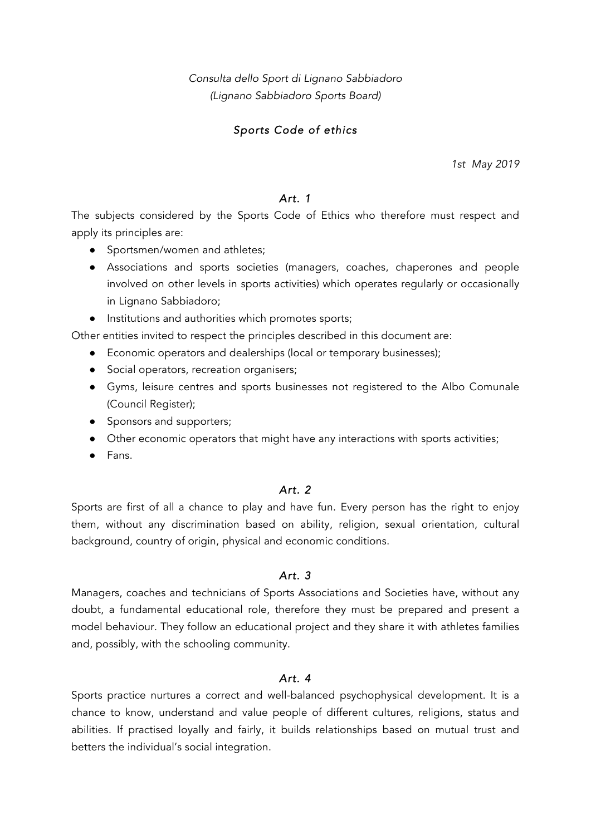*Consulta dello Sport di Lignano Sabbiadoro (Lignano Sabbiadoro Sports Board)*

## *Sports Code of ethics*

*1st May 2019*

## *Art. 1*

The subjects considered by the Sports Code of Ethics who therefore must respect and apply its principles are:

- Sportsmen/women and athletes;
- Associations and sports societies (managers, coaches, chaperones and people involved on other levels in sports activities) which operates regularly or occasionally in Lignano Sabbiadoro;
- Institutions and authorities which promotes sports;

Other entities invited to respect the principles described in this document are:

- Economic operators and dealerships (local or temporary businesses);
- Social operators, recreation organisers;
- Gyms, leisure centres and sports businesses not registered to the Albo Comunale (Council Register);
- Sponsors and supporters;
- Other economic operators that might have any interactions with sports activities;
- Fans.

## *Art. 2*

Sports are first of all a chance to play and have fun. Every person has the right to enjoy them, without any discrimination based on ability, religion, sexual orientation, cultural background, country of origin, physical and economic conditions.

#### *Art. 3*

Managers, coaches and technicians of Sports Associations and Societies have, without any doubt, a fundamental educational role, therefore they must be prepared and present a model behaviour. They follow an educational project and they share it with athletes families and, possibly, with the schooling community.

## *Art. 4*

Sports practice nurtures a correct and well-balanced psychophysical development. It is a chance to know, understand and value people of different cultures, religions, status and abilities. If practised loyally and fairly, it builds relationships based on mutual trust and betters the individual's social integration.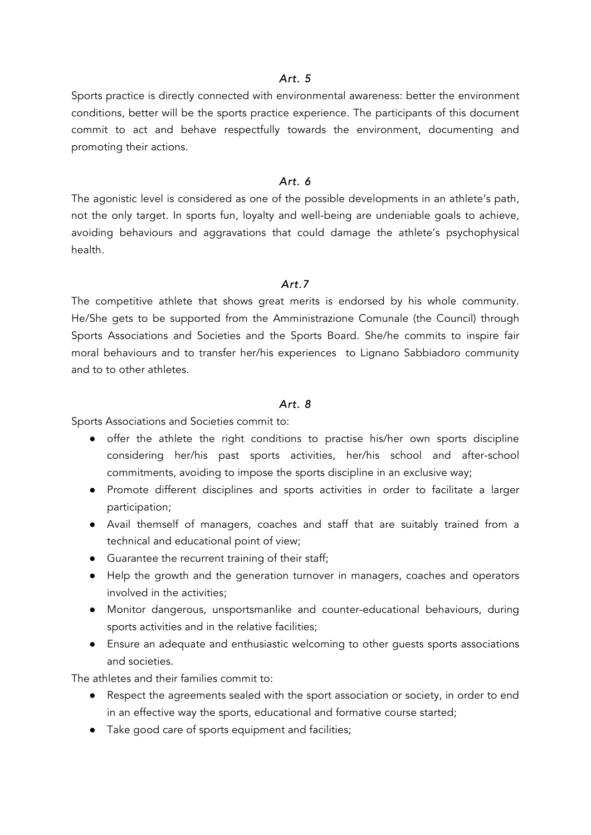#### *Art. 5*

Sports practice is directly connected with environmental awareness: better the environment conditions, better will be the sports practice experience. The participants of this document commit to act and behave respectfully towards the environment, documenting and promoting their actions.

#### *Art. 6*

The agonistic level is considered as one of the possible developments in an athlete's path, not the only target. In sports fun, loyalty and well-being are undeniable goals to achieve, avoiding behaviours and aggravations that could damage the athlete's psychophysical health.

#### *Art.7*

The competitive athlete that shows great merits is endorsed by his whole community. He/She gets to be supported from the Amministrazione Comunale (the Council) through Sports Associations and Societies and the Sports Board. She/he commits to inspire fair moral behaviours and to transfer her/his experiences to Lignano Sabbiadoro community and to to other athletes.

#### *Art. 8*

Sports Associations and Societies commit to:

- offer the athlete the right conditions to practise his/her own sports discipline considering her/his past sports activities, her/his school and after-school commitments, avoiding to impose the sports discipline in an exclusive way;
- Promote different disciplines and sports activities in order to facilitate a larger participation;
- Avail themself of managers, coaches and staff that are suitably trained from a technical and educational point of view;
- Guarantee the recurrent training of their staff;
- Help the growth and the generation turnover in managers, coaches and operators involved in the activities;
- Monitor dangerous, unsportsmanlike and counter-educational behaviours, during sports activities and in the relative facilities;
- Ensure an adequate and enthusiastic welcoming to other guests sports associations and societies.

The athletes and their families commit to:

- Respect the agreements sealed with the sport association or society, in order to end in an effective way the sports, educational and formative course started;
- Take good care of sports equipment and facilities;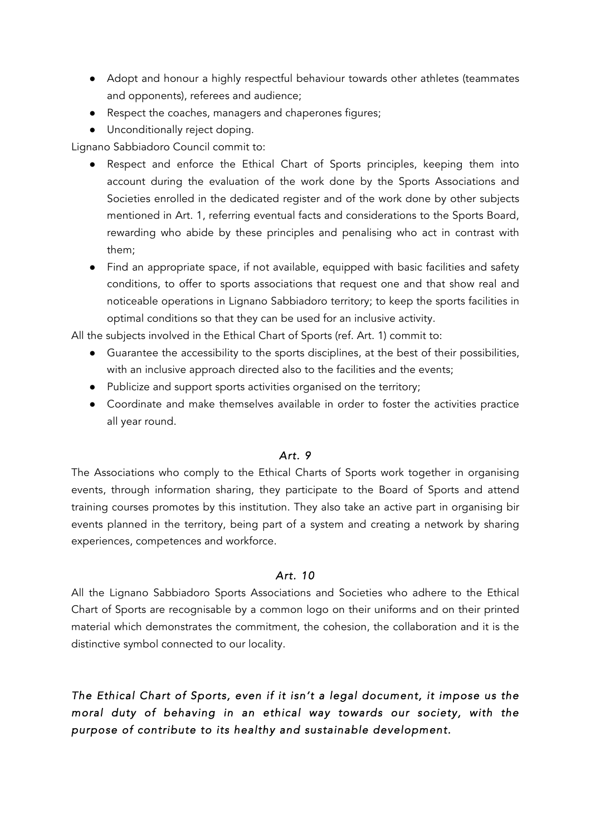- Adopt and honour a highly respectful behaviour towards other athletes (teammates and opponents), referees and audience;
- Respect the coaches, managers and chaperones figures;
- Unconditionally reject doping.

Lignano Sabbiadoro Council commit to:

- Respect and enforce the Ethical Chart of Sports principles, keeping them into account during the evaluation of the work done by the Sports Associations and Societies enrolled in the dedicated register and of the work done by other subjects mentioned in Art. 1, referring eventual facts and considerations to the Sports Board, rewarding who abide by these principles and penalising who act in contrast with them;
- Find an appropriate space, if not available, equipped with basic facilities and safety conditions, to offer to sports associations that request one and that show real and noticeable operations in Lignano Sabbiadoro territory; to keep the sports facilities in optimal conditions so that they can be used for an inclusive activity.

All the subjects involved in the Ethical Chart of Sports (ref. Art. 1) commit to:

- Guarantee the accessibility to the sports disciplines, at the best of their possibilities, with an inclusive approach directed also to the facilities and the events;
- Publicize and support sports activities organised on the territory;
- Coordinate and make themselves available in order to foster the activities practice all year round.

#### *Art. 9*

The Associations who comply to the Ethical Charts of Sports work together in organising events, through information sharing, they participate to the Board of Sports and attend training courses promotes by this institution. They also take an active part in organising bir events planned in the territory, being part of a system and creating a network by sharing experiences, competences and workforce.

#### *Art. 10*

All the Lignano Sabbiadoro Sports Associations and Societies who adhere to the Ethical Chart of Sports are recognisable by a common logo on their uniforms and on their printed material which demonstrates the commitment, the cohesion, the collaboration and it is the distinctive symbol connected to our locality.

*The Ethical Chart of Sports, even if it isn't a legal document, it impose us the moral duty of behaving in an ethical way towards our society, with the purpose of contribute to its healthy and sustainable development.*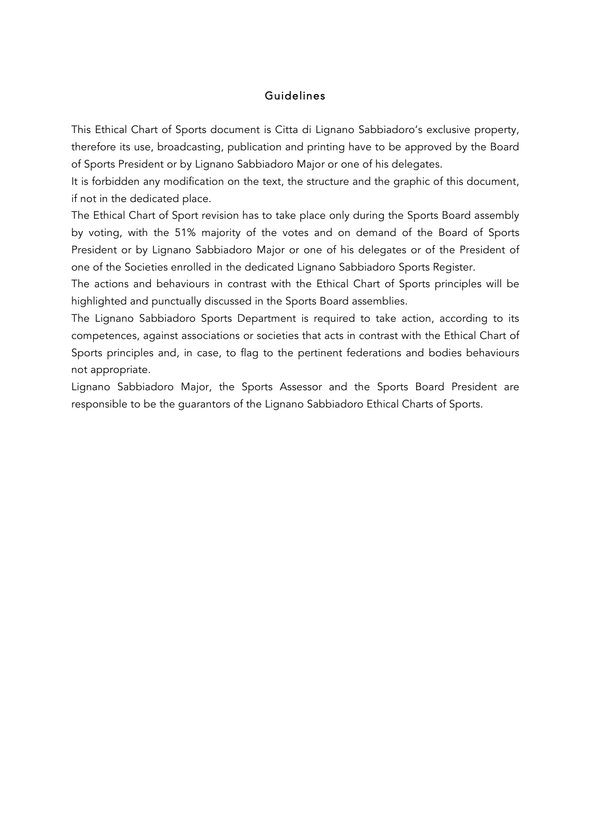## Guidelines

This Ethical Chart of Sports document is Citta di Lignano Sabbiadoro's exclusive property, therefore its use, broadcasting, publication and printing have to be approved by the Board of Sports President or by Lignano Sabbiadoro Major or one of his delegates.

It is forbidden any modification on the text, the structure and the graphic of this document, if not in the dedicated place.

The Ethical Chart of Sport revision has to take place only during the Sports Board assembly by voting, with the 51% majority of the votes and on demand of the Board of Sports President or by Lignano Sabbiadoro Major or one of his delegates or of the President of one of the Societies enrolled in the dedicated Lignano Sabbiadoro Sports Register.

The actions and behaviours in contrast with the Ethical Chart of Sports principles will be highlighted and punctually discussed in the Sports Board assemblies.

The Lignano Sabbiadoro Sports Department is required to take action, according to its competences, against associations or societies that acts in contrast with the Ethical Chart of Sports principles and, in case, to flag to the pertinent federations and bodies behaviours not appropriate.

Lignano Sabbiadoro Major, the Sports Assessor and the Sports Board President are responsible to be the guarantors of the Lignano Sabbiadoro Ethical Charts of Sports.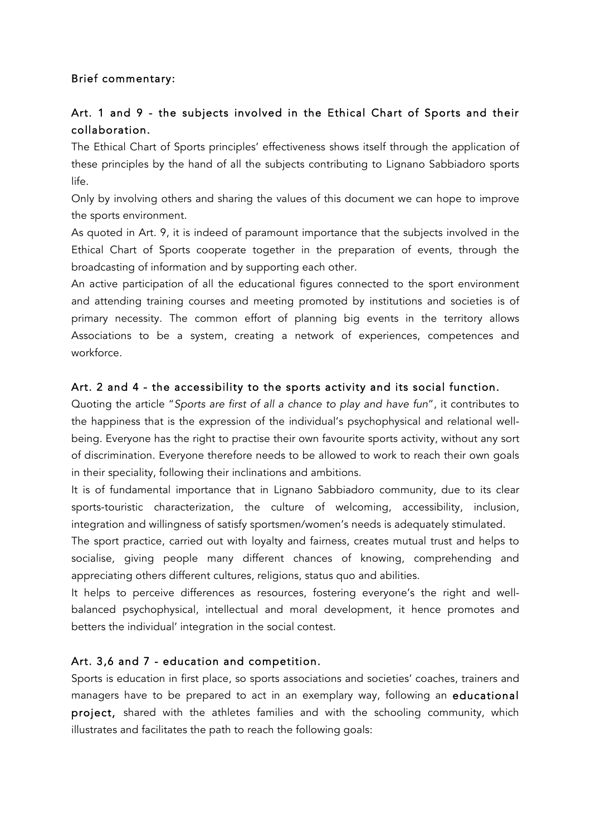## Brief commentary:

# Art. 1 and 9 - the subjects involved in the Ethical Chart of Sports and their collaboration.

The Ethical Chart of Sports principles' effectiveness shows itself through the application of these principles by the hand of all the subjects contributing to Lignano Sabbiadoro sports life.

Only by involving others and sharing the values of this document we can hope to improve the sports environment.

As quoted in Art. 9, it is indeed of paramount importance that the subjects involved in the Ethical Chart of Sports cooperate together in the preparation of events, through the broadcasting of information and by supporting each other.

An active participation of all the educational figures connected to the sport environment and attending training courses and meeting promoted by institutions and societies is of primary necessity. The common effort of planning big events in the territory allows Associations to be a system, creating a network of experiences, competences and workforce.

## Art. 2 and 4 - the accessibility to the sports activity and its social function.

Quoting the article "*Sports are first of all a chance to play and have fun*", it contributes to the happiness that is the expression of the individual's psychophysical and relational wellbeing. Everyone has the right to practise their own favourite sports activity, without any sort of discrimination. Everyone therefore needs to be allowed to work to reach their own goals in their speciality, following their inclinations and ambitions.

It is of fundamental importance that in Lignano Sabbiadoro community, due to its clear sports-touristic characterization, the culture of welcoming, accessibility, inclusion, integration and willingness of satisfy sportsmen/women's needs is adequately stimulated.

The sport practice, carried out with loyalty and fairness, creates mutual trust and helps to socialise, giving people many different chances of knowing, comprehending and appreciating others different cultures, religions, status quo and abilities.

It helps to perceive differences as resources, fostering everyone's the right and wellbalanced psychophysical, intellectual and moral development, it hence promotes and betters the individual' integration in the social contest.

## Art. 3,6 and 7 - education and competition.

Sports is education in first place, so sports associations and societies' coaches, trainers and managers have to be prepared to act in an exemplary way, following an educational project, shared with the athletes families and with the schooling community, which illustrates and facilitates the path to reach the following goals: